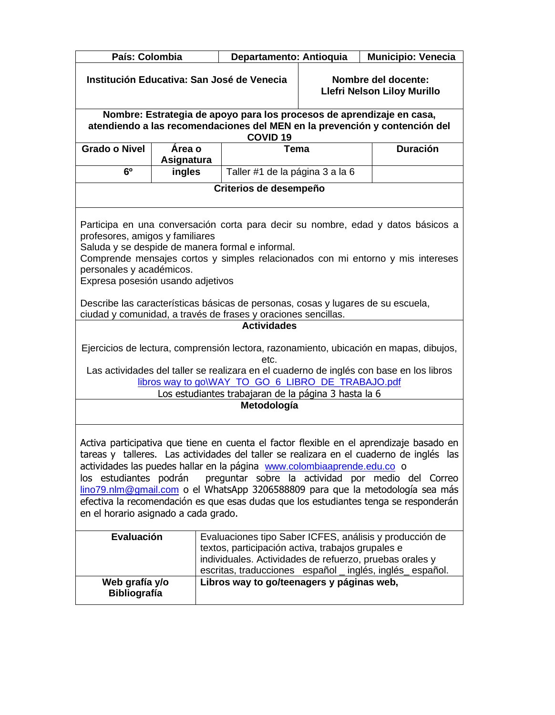| País: Colombia                                                                                                                                                                                                                                                                                                                                                                                                                                                                                                                                                |                                                                                                                                                                                                                                                                                                                                                                                                                                                                                                        | Departamento: Antioquia                                                                                                          |  | <b>Municipio: Venecia</b>                                                                                                                                                         |  |  |  |  |  |
|---------------------------------------------------------------------------------------------------------------------------------------------------------------------------------------------------------------------------------------------------------------------------------------------------------------------------------------------------------------------------------------------------------------------------------------------------------------------------------------------------------------------------------------------------------------|--------------------------------------------------------------------------------------------------------------------------------------------------------------------------------------------------------------------------------------------------------------------------------------------------------------------------------------------------------------------------------------------------------------------------------------------------------------------------------------------------------|----------------------------------------------------------------------------------------------------------------------------------|--|-----------------------------------------------------------------------------------------------------------------------------------------------------------------------------------|--|--|--|--|--|
| Institución Educativa: San José de Venecia                                                                                                                                                                                                                                                                                                                                                                                                                                                                                                                    |                                                                                                                                                                                                                                                                                                                                                                                                                                                                                                        |                                                                                                                                  |  | Nombre del docente:<br>Llefri Nelson Liloy Murillo                                                                                                                                |  |  |  |  |  |
|                                                                                                                                                                                                                                                                                                                                                                                                                                                                                                                                                               | Nombre: Estrategia de apoyo para los procesos de aprendizaje en casa,                                                                                                                                                                                                                                                                                                                                                                                                                                  |                                                                                                                                  |  |                                                                                                                                                                                   |  |  |  |  |  |
|                                                                                                                                                                                                                                                                                                                                                                                                                                                                                                                                                               |                                                                                                                                                                                                                                                                                                                                                                                                                                                                                                        |                                                                                                                                  |  | atendiendo a las recomendaciones del MEN en la prevención y contención del                                                                                                        |  |  |  |  |  |
| <b>Grado o Nivel</b>                                                                                                                                                                                                                                                                                                                                                                                                                                                                                                                                          | Área o                                                                                                                                                                                                                                                                                                                                                                                                                                                                                                 | <b>COVID 19</b><br>Tema                                                                                                          |  | <b>Duración</b>                                                                                                                                                                   |  |  |  |  |  |
|                                                                                                                                                                                                                                                                                                                                                                                                                                                                                                                                                               | Asignatura                                                                                                                                                                                                                                                                                                                                                                                                                                                                                             |                                                                                                                                  |  |                                                                                                                                                                                   |  |  |  |  |  |
| 6 <sup>0</sup>                                                                                                                                                                                                                                                                                                                                                                                                                                                                                                                                                | ingles                                                                                                                                                                                                                                                                                                                                                                                                                                                                                                 | Taller #1 de la página 3 a la 6                                                                                                  |  |                                                                                                                                                                                   |  |  |  |  |  |
|                                                                                                                                                                                                                                                                                                                                                                                                                                                                                                                                                               |                                                                                                                                                                                                                                                                                                                                                                                                                                                                                                        | Criterios de desempeño                                                                                                           |  |                                                                                                                                                                                   |  |  |  |  |  |
|                                                                                                                                                                                                                                                                                                                                                                                                                                                                                                                                                               | Participa en una conversación corta para decir su nombre, edad y datos básicos a<br>profesores, amigos y familiares<br>Saluda y se despide de manera formal e informal.<br>Comprende mensajes cortos y simples relacionados con mi entorno y mis intereses<br>personales y académicos.<br>Expresa posesión usando adjetivos<br>Describe las características básicas de personas, cosas y lugares de su escuela,<br>ciudad y comunidad, a través de frases y oraciones sencillas.<br><b>Actividades</b> |                                                                                                                                  |  |                                                                                                                                                                                   |  |  |  |  |  |
|                                                                                                                                                                                                                                                                                                                                                                                                                                                                                                                                                               |                                                                                                                                                                                                                                                                                                                                                                                                                                                                                                        | etc.<br>libros way to go\WAY_TO_GO_6_LIBRO_DE_TRABAJO.pdf<br>Los estudiantes trabajaran de la página 3 hasta la 6<br>Metodología |  | Ejercicios de lectura, comprensión lectora, razonamiento, ubicación en mapas, dibujos,<br>Las actividades del taller se realizara en el cuaderno de inglés con base en los libros |  |  |  |  |  |
| Activa participativa que tiene en cuenta el factor flexible en el aprendizaje basado en<br>tareas y talleres. Las actividades del taller se realizara en el cuaderno de inglés las<br>actividades las puedes hallar en la página www.colombiaaprende.edu.co o<br>preguntar sobre la actividad por medio del Correo<br>los estudiantes podrán<br>lino79.nlm@gmail.com o el WhatsApp 3206588809 para que la metodología sea más<br>efectiva la recomendación es que esas dudas que los estudiantes tenga se responderán<br>en el horario asignado a cada grado. |                                                                                                                                                                                                                                                                                                                                                                                                                                                                                                        |                                                                                                                                  |  |                                                                                                                                                                                   |  |  |  |  |  |
|                                                                                                                                                                                                                                                                                                                                                                                                                                                                                                                                                               | Evaluación<br>Evaluaciones tipo Saber ICFES, análisis y producción de<br>textos, participación activa, trabajos grupales e<br>individuales. Actividades de refuerzo, pruebas orales y<br>escritas, traducciones español _ inglés, inglés español.<br>Libros way to go/teenagers y páginas web,<br>Web grafía y/o<br><b>Bibliografía</b>                                                                                                                                                                |                                                                                                                                  |  |                                                                                                                                                                                   |  |  |  |  |  |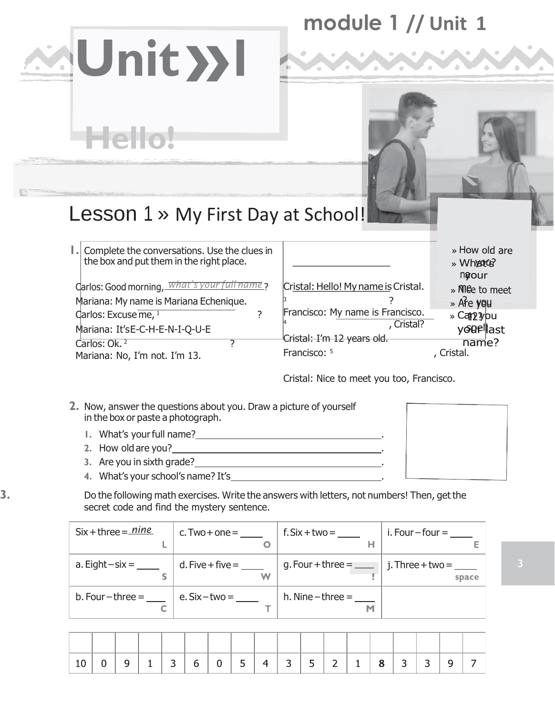## **module 1 // Unit 1**

# Lesson 1 » My First Day at School!

| I. Complete the conversations. Use the clues in<br>the box and put them in the right place. |                                     | » How old are<br>» Where<br>ngour |
|---------------------------------------------------------------------------------------------|-------------------------------------|-----------------------------------|
| Carlos: Good morning, What's your f<br><u>name</u> ?                                        | Cristal: Hello! My name is Cristal. | » Mee to meet                     |
| Mariana: My name is Mariana Echenique.                                                      |                                     | » Are you                         |
| Carlos: Excuse $\overline{me}$ , $\overline{1}$                                             | Francisco: My name is Francisco.    | » Can <sub>2</sub> you            |
| Mariana: It'sE-C-H-E-N-I-Q-U-E                                                              | , Cristal?                          | youellast                         |
| Carlos: Ok. <sup>2</sup>                                                                    | Cristal: I'm 12 years old.          | name?                             |
| Mariana: No, I'm not. I'm 13.                                                               | Francisco: 5                        | , Cristal.                        |
|                                                                                             |                                     |                                   |

Cristal: Nice to meet you too, Francisco.

- **2.** Now, answer the questions about you. Draw a picture of yourself in the box or paste a photograph.
	- **1.** What's yourfull name? .

**Unit»<sup>1</sup>**

**Hello!**

- **2.** How old are you? .
- **3.** Are you in sixth grade? .
- **4.** What's your school's name? It's .
- **3.** Do the following math exercises. Write the answers with letters, not numbers! Then, get the secret code and find the mystery sentence.

| $Six + three = mine$    | $c. Two + one =$        | $f.Six + two = \_\_$            | i. Four $-$ four $=$        |
|-------------------------|-------------------------|---------------------------------|-----------------------------|
| a. Eight $-six =$       | $d.$ Five + five =<br>W | g. Four + three = $\frac{1}{2}$ | j. Three + $two =$<br>space |
| $b.$ Four $-$ three $=$ | $e. Six-two =$          | $h.$ Nine – three =<br>M        |                             |

|  |  | $h$ | $0$ 5 | $-$   4   3   5   2 |  | $-1$ |  | । ≺ |  |
|--|--|-----|-------|---------------------|--|------|--|-----|--|

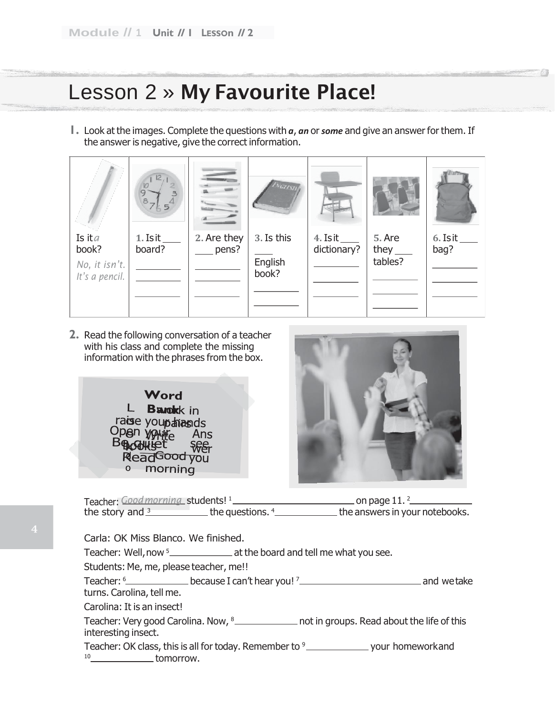#### Lesson 2 » My Favourite Place!

**1.** Look at the images. Complete the questions with *a*, *an* or*some* and give an answer for them. If the answer is negative, give the correct information.



**2.** Read the following conversation of a teacher with his class and complete the missing information with the phrases from the box.





| Teacher: Good morning students! <sup>1</sup> |                    | $\_$ on page $11.^2$           |
|----------------------------------------------|--------------------|--------------------------------|
| the story and $3$                            | the questions. $4$ | the answers in your notebooks. |

Carla: OK Miss Blanco. We finished.

Teacher: Well, now <sup>5</sup> \_\_\_\_\_\_\_\_\_\_\_\_\_\_\_\_\_\_ at the board and tell me what you see.

Students: Me, me, please teacher, me!!

Teacher: <sup>6</sup> because I can't hear you! <sup>7</sup> and wetake turns. Carolina, tell me.

Carolina: It is an insect!

Teacher: Very good Carolina. Now, 8\_\_\_\_\_\_\_\_\_\_\_\_\_ not in groups. Read about the life of this interesting insect.

Teacher: OK class, this is all for today. Remember to <sup>9</sup> \_\_\_\_\_\_\_\_\_\_\_\_\_\_\_\_\_\_\_\_\_\_ your homeworkand <sup>10</sup> tomorrow.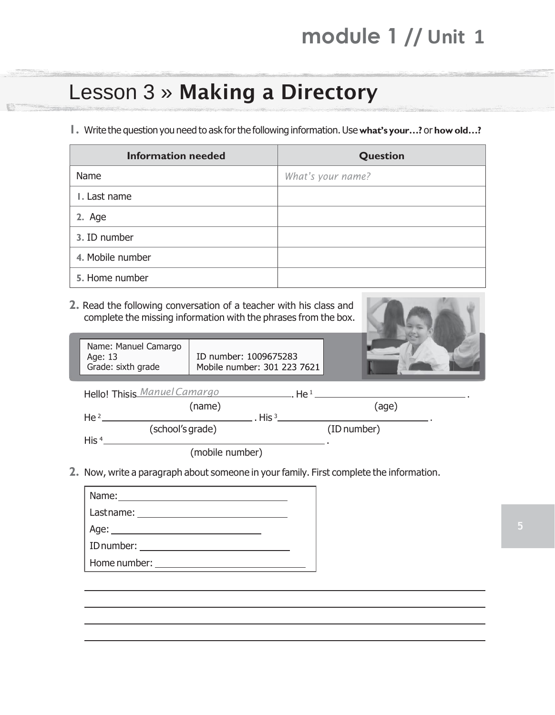## **module 1 // Unit 1**

### Lesson 3 » Making a Directory

**1.** Write the question you need to ask forthe following information.Use **what's your…?** or **howold…?**

| <b>Information needed</b> | Question          |
|---------------------------|-------------------|
| Name                      | What's your name? |
| I. Last name              |                   |
| 2. Age                    |                   |
| 3. ID number              |                   |
| 4. Mobile number          |                   |
| 5. Home number            |                   |

**2.** Read the following conversation of a teacher with his class and complete the missing information with the phrases from the box.



.

| Name: Manuel Camargo |                             |  |
|----------------------|-----------------------------|--|
| Age: 13              | ID number: 1009675283       |  |
| Grade: sixth grade   | Mobile number: 301 223 7621 |  |
|                      |                             |  |

|                  | Hello! Thisis Manuel Camargo |         | He <sup>1</sup> |  |
|------------------|------------------------------|---------|-----------------|--|
|                  | (name)                       |         | (age)           |  |
| He <sup>2</sup>  |                              | His $3$ |                 |  |
|                  | (school's grade)             |         | (ID number)     |  |
| His <sup>4</sup> |                              |         |                 |  |
|                  | (mobile number)              |         |                 |  |

**2.** Now, write a paragraph about someone in your family. First complete the information.

| Name: Name and the service of the service of the service of the service of the service of the service of the service of the service of the service of the service of the service of the service of the service of the service  |  |
|--------------------------------------------------------------------------------------------------------------------------------------------------------------------------------------------------------------------------------|--|
|                                                                                                                                                                                                                                |  |
|                                                                                                                                                                                                                                |  |
|                                                                                                                                                                                                                                |  |
| Home number: the contract of the contract of the contract of the contract of the contract of the contract of the contract of the contract of the contract of the contract of the contract of the contract of the contract of t |  |
|                                                                                                                                                                                                                                |  |